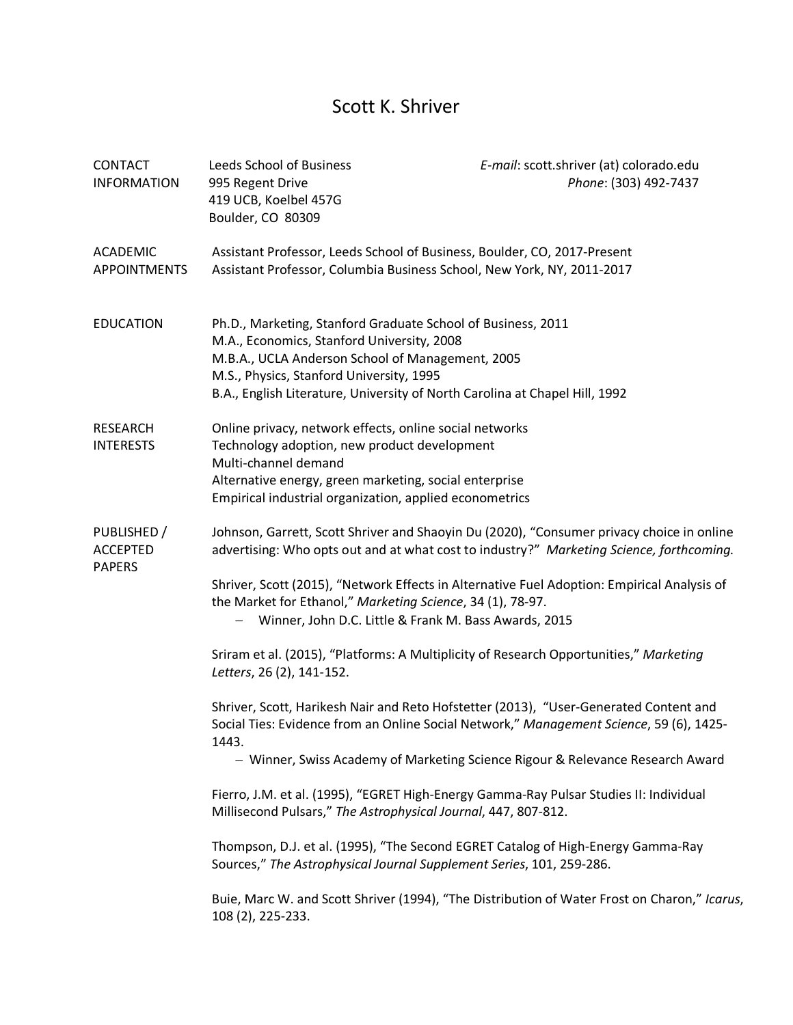## Scott K. Shriver

| <b>CONTACT</b><br><b>INFORMATION</b>            | Leeds School of Business<br>995 Regent Drive<br>419 UCB, Koelbel 457G<br>Boulder, CO 80309                                                                                                                                                                                                                                                                                                                                                                                                                                                                                                                                                                                                                                                                                                                                                                                                                                                                                                                                                              | E-mail: scott.shriver (at) colorado.edu<br>Phone: (303) 492-7437                             |
|-------------------------------------------------|---------------------------------------------------------------------------------------------------------------------------------------------------------------------------------------------------------------------------------------------------------------------------------------------------------------------------------------------------------------------------------------------------------------------------------------------------------------------------------------------------------------------------------------------------------------------------------------------------------------------------------------------------------------------------------------------------------------------------------------------------------------------------------------------------------------------------------------------------------------------------------------------------------------------------------------------------------------------------------------------------------------------------------------------------------|----------------------------------------------------------------------------------------------|
| <b>ACADEMIC</b><br><b>APPOINTMENTS</b>          | Assistant Professor, Leeds School of Business, Boulder, CO, 2017-Present<br>Assistant Professor, Columbia Business School, New York, NY, 2011-2017                                                                                                                                                                                                                                                                                                                                                                                                                                                                                                                                                                                                                                                                                                                                                                                                                                                                                                      |                                                                                              |
| <b>EDUCATION</b>                                | Ph.D., Marketing, Stanford Graduate School of Business, 2011<br>M.A., Economics, Stanford University, 2008<br>M.B.A., UCLA Anderson School of Management, 2005<br>M.S., Physics, Stanford University, 1995<br>B.A., English Literature, University of North Carolina at Chapel Hill, 1992                                                                                                                                                                                                                                                                                                                                                                                                                                                                                                                                                                                                                                                                                                                                                               |                                                                                              |
| <b>RESEARCH</b><br><b>INTERESTS</b>             | Online privacy, network effects, online social networks<br>Technology adoption, new product development<br>Multi-channel demand<br>Alternative energy, green marketing, social enterprise<br>Empirical industrial organization, applied econometrics                                                                                                                                                                                                                                                                                                                                                                                                                                                                                                                                                                                                                                                                                                                                                                                                    |                                                                                              |
| PUBLISHED /<br><b>ACCEPTED</b><br><b>PAPERS</b> | Johnson, Garrett, Scott Shriver and Shaoyin Du (2020), "Consumer privacy choice in online<br>advertising: Who opts out and at what cost to industry?" Marketing Science, forthcoming.<br>Shriver, Scott (2015), "Network Effects in Alternative Fuel Adoption: Empirical Analysis of<br>the Market for Ethanol," Marketing Science, 34 (1), 78-97.<br>Winner, John D.C. Little & Frank M. Bass Awards, 2015<br>Sriram et al. (2015), "Platforms: A Multiplicity of Research Opportunities," Marketing<br>Letters, 26 (2), 141-152.<br>Shriver, Scott, Harikesh Nair and Reto Hofstetter (2013), "User-Generated Content and<br>Social Ties: Evidence from an Online Social Network," Management Science, 59 (6), 1425-<br>1443.<br>Fierro, J.M. et al. (1995), "EGRET High-Energy Gamma-Ray Pulsar Studies II: Individual<br>Millisecond Pulsars," The Astrophysical Journal, 447, 807-812.<br>Thompson, D.J. et al. (1995), "The Second EGRET Catalog of High-Energy Gamma-Ray<br>Sources," The Astrophysical Journal Supplement Series, 101, 259-286. | - Winner, Swiss Academy of Marketing Science Rigour & Relevance Research Award               |
|                                                 | 108 (2), 225-233.                                                                                                                                                                                                                                                                                                                                                                                                                                                                                                                                                                                                                                                                                                                                                                                                                                                                                                                                                                                                                                       | Buie, Marc W. and Scott Shriver (1994), "The Distribution of Water Frost on Charon," Icarus, |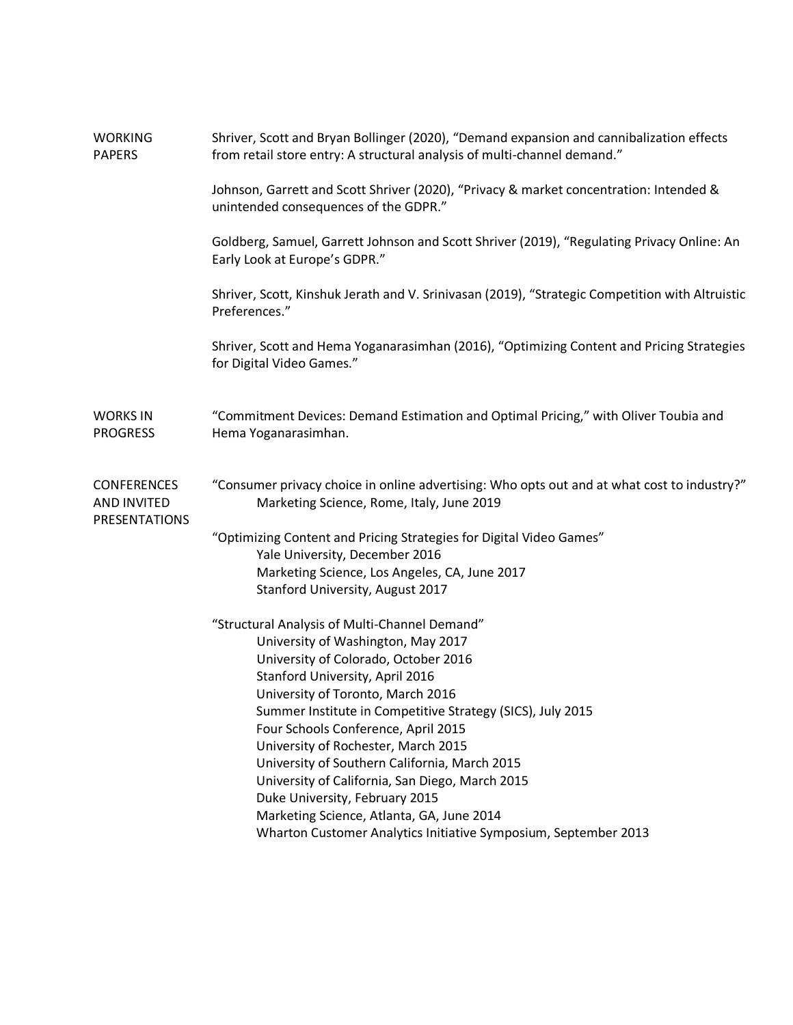| <b>WORKING</b><br><b>PAPERS</b>                           | Shriver, Scott and Bryan Bollinger (2020), "Demand expansion and cannibalization effects<br>from retail store entry: A structural analysis of multi-channel demand." |  |
|-----------------------------------------------------------|----------------------------------------------------------------------------------------------------------------------------------------------------------------------|--|
|                                                           | Johnson, Garrett and Scott Shriver (2020), "Privacy & market concentration: Intended &<br>unintended consequences of the GDPR."                                      |  |
|                                                           | Goldberg, Samuel, Garrett Johnson and Scott Shriver (2019), "Regulating Privacy Online: An<br>Early Look at Europe's GDPR."                                          |  |
|                                                           | Shriver, Scott, Kinshuk Jerath and V. Srinivasan (2019), "Strategic Competition with Altruistic<br>Preferences."                                                     |  |
|                                                           | Shriver, Scott and Hema Yoganarasimhan (2016), "Optimizing Content and Pricing Strategies<br>for Digital Video Games."                                               |  |
| <b>WORKS IN</b><br><b>PROGRESS</b>                        | "Commitment Devices: Demand Estimation and Optimal Pricing," with Oliver Toubia and<br>Hema Yoganarasimhan.                                                          |  |
| <b>CONFERENCES</b><br>AND INVITED<br><b>PRESENTATIONS</b> | "Consumer privacy choice in online advertising: Who opts out and at what cost to industry?"<br>Marketing Science, Rome, Italy, June 2019                             |  |
|                                                           | "Optimizing Content and Pricing Strategies for Digital Video Games"                                                                                                  |  |
|                                                           | Yale University, December 2016<br>Marketing Science, Los Angeles, CA, June 2017                                                                                      |  |
|                                                           | Stanford University, August 2017                                                                                                                                     |  |
|                                                           | "Structural Analysis of Multi-Channel Demand"                                                                                                                        |  |
|                                                           | University of Washington, May 2017<br>University of Colorado, October 2016                                                                                           |  |
|                                                           | Stanford University, April 2016                                                                                                                                      |  |
|                                                           | University of Toronto, March 2016                                                                                                                                    |  |
|                                                           | Summer Institute in Competitive Strategy (SICS), July 2015<br>Four Schools Conference, April 2015                                                                    |  |
|                                                           | University of Rochester, March 2015                                                                                                                                  |  |
|                                                           | University of Southern California, March 2015                                                                                                                        |  |
|                                                           | University of California, San Diego, March 2015                                                                                                                      |  |
|                                                           | Duke University, February 2015<br>Marketing Science, Atlanta, GA, June 2014                                                                                          |  |
|                                                           | Wharton Customer Analytics Initiative Symposium, September 2013                                                                                                      |  |
|                                                           |                                                                                                                                                                      |  |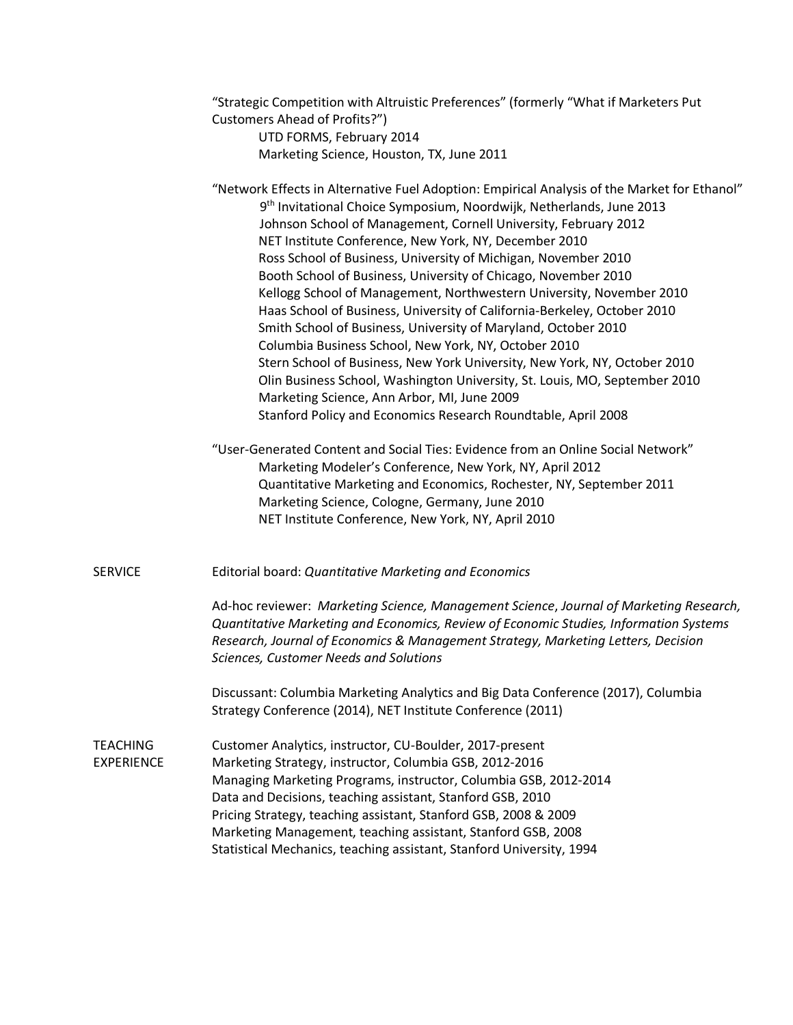|                               | "Strategic Competition with Altruistic Preferences" (formerly "What if Marketers Put<br>Customers Ahead of Profits?")<br>UTD FORMS, February 2014<br>Marketing Science, Houston, TX, June 2011                                                                                                                                                                                                                                                                                                                                                                                                                                                                                                                                                                                                                                                                                                                                                                                                            |
|-------------------------------|-----------------------------------------------------------------------------------------------------------------------------------------------------------------------------------------------------------------------------------------------------------------------------------------------------------------------------------------------------------------------------------------------------------------------------------------------------------------------------------------------------------------------------------------------------------------------------------------------------------------------------------------------------------------------------------------------------------------------------------------------------------------------------------------------------------------------------------------------------------------------------------------------------------------------------------------------------------------------------------------------------------|
|                               | "Network Effects in Alternative Fuel Adoption: Empirical Analysis of the Market for Ethanol"<br>9 <sup>th</sup> Invitational Choice Symposium, Noordwijk, Netherlands, June 2013<br>Johnson School of Management, Cornell University, February 2012<br>NET Institute Conference, New York, NY, December 2010<br>Ross School of Business, University of Michigan, November 2010<br>Booth School of Business, University of Chicago, November 2010<br>Kellogg School of Management, Northwestern University, November 2010<br>Haas School of Business, University of California-Berkeley, October 2010<br>Smith School of Business, University of Maryland, October 2010<br>Columbia Business School, New York, NY, October 2010<br>Stern School of Business, New York University, New York, NY, October 2010<br>Olin Business School, Washington University, St. Louis, MO, September 2010<br>Marketing Science, Ann Arbor, MI, June 2009<br>Stanford Policy and Economics Research Roundtable, April 2008 |
|                               | "User-Generated Content and Social Ties: Evidence from an Online Social Network"<br>Marketing Modeler's Conference, New York, NY, April 2012<br>Quantitative Marketing and Economics, Rochester, NY, September 2011<br>Marketing Science, Cologne, Germany, June 2010<br>NET Institute Conference, New York, NY, April 2010                                                                                                                                                                                                                                                                                                                                                                                                                                                                                                                                                                                                                                                                               |
| <b>SERVICE</b>                | Editorial board: Quantitative Marketing and Economics<br>Ad-hoc reviewer: Marketing Science, Management Science, Journal of Marketing Research,<br>Quantitative Marketing and Economics, Review of Economic Studies, Information Systems                                                                                                                                                                                                                                                                                                                                                                                                                                                                                                                                                                                                                                                                                                                                                                  |
|                               | Research, Journal of Economics & Management Strategy, Marketing Letters, Decision<br>Sciences, Customer Needs and Solutions                                                                                                                                                                                                                                                                                                                                                                                                                                                                                                                                                                                                                                                                                                                                                                                                                                                                               |
|                               | Discussant: Columbia Marketing Analytics and Big Data Conference (2017), Columbia<br>Strategy Conference (2014), NET Institute Conference (2011)                                                                                                                                                                                                                                                                                                                                                                                                                                                                                                                                                                                                                                                                                                                                                                                                                                                          |
| TEACHING<br><b>EXPERIENCE</b> | Customer Analytics, instructor, CU-Boulder, 2017-present<br>Marketing Strategy, instructor, Columbia GSB, 2012-2016<br>Managing Marketing Programs, instructor, Columbia GSB, 2012-2014<br>Data and Decisions, teaching assistant, Stanford GSB, 2010<br>Pricing Strategy, teaching assistant, Stanford GSB, 2008 & 2009<br>Marketing Management, teaching assistant, Stanford GSB, 2008<br>Statistical Mechanics, teaching assistant, Stanford University, 1994                                                                                                                                                                                                                                                                                                                                                                                                                                                                                                                                          |